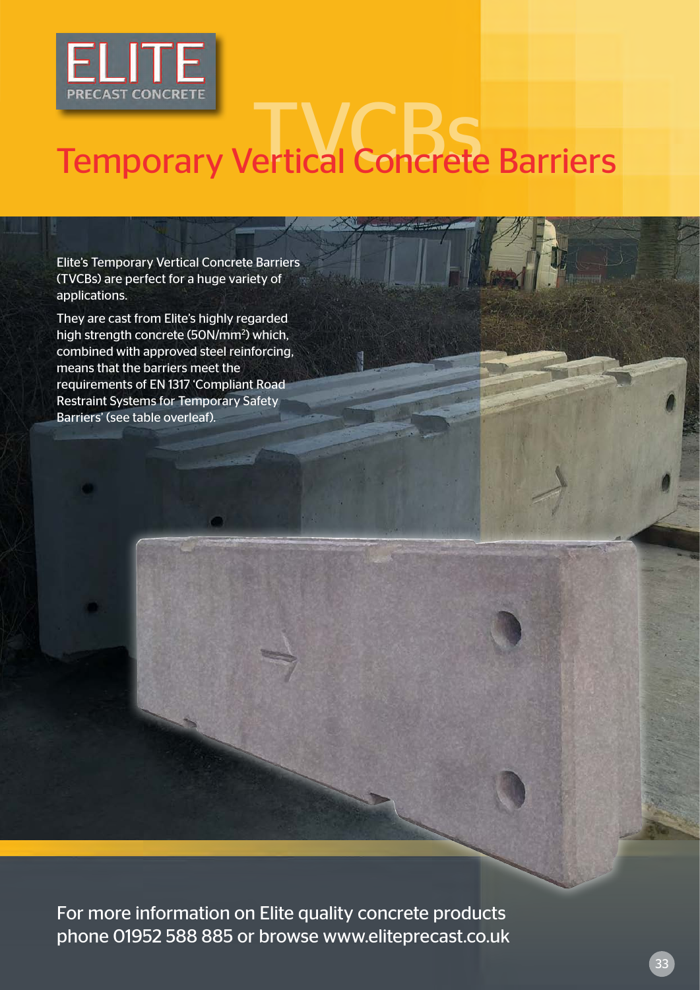

# PRECAST CONCRETE

Elite's Temporary Vertical Concrete Barriers (TVCBs) are perfect for a huge variety of applications.

They are cast from Elite's highly regarded high strength concrete (50N/mm2 ) which, combined with approved steel reinforcing, means that the barriers meet the requirements of EN 1317 'Compliant Road Restraint Systems for Temporary Safety Barriers' (see table overleaf).

For more information on Elite quality concrete products phone 01952 588 885 or browse www.eliteprecast.co.uk